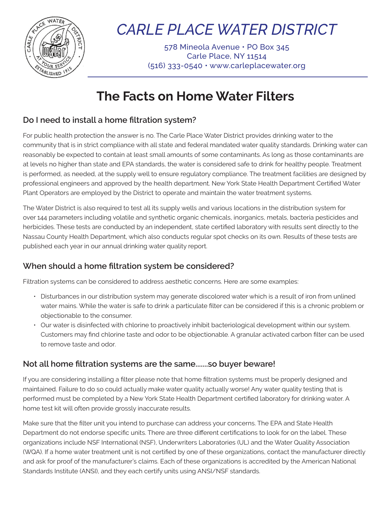

## *CARLE PLACE WATER DISTRICT*

578 Mineola Avenue • PO Box 345 Carle Place, NY 11514 (516) 333-0540 • www.carleplacewater.org

### **The Facts on Home Water Filters**

### **Do I need to install a home filtration system?**

For public health protection the answer is no. The Carle Place Water District provides drinking water to the community that is in strict compliance with all state and federal mandated water quality standards. Drinking water can reasonably be expected to contain at least small amounts of some contaminants. As long as those contaminants are at levels no higher than state and EPA standards, the water is considered safe to drink for healthy people. Treatment is performed, as needed, at the supply well to ensure regulatory compliance. The treatment facilities are designed by professional engineers and approved by the health department. New York State Health Department Certified Water Plant Operators are employed by the District to operate and maintain the water treatment systems.

The Water District is also required to test all its supply wells and various locations in the distribution system for over 144 parameters including volatile and synthetic organic chemicals, inorganics, metals, bacteria pesticides and herbicides. These tests are conducted by an independent, state certified laboratory with results sent directly to the Nassau County Health Department, which also conducts regular spot checks on its own. Results of these tests are published each year in our annual drinking water quality report.

### **When should a home filtration system be considered?**

Filtration systems can be considered to address aesthetic concerns. Here are some examples:

- Disturbances in our distribution system may generate discolored water which is a result of iron from unlined water mains. While the water is safe to drink a particulate filter can be considered if this is a chronic problem or objectionable to the consumer.
- Our water is disinfected with chlorine to proactively inhibit bacteriological development within our system. Customers may find chlorine taste and odor to be objectionable. A granular activated carbon filter can be used to remove taste and odor.

### **Not all home filtration systems are the same.......so buyer beware!**

If you are considering installing a filter please note that home filtration systems must be properly designed and maintained. Failure to do so could actually make water quality actually worse! Any water quality testing that is performed must be completed by a New York State Health Department certified laboratory for drinking water. A home test kit will often provide grossly inaccurate results.

Make sure that the filter unit you intend to purchase can address your concerns. The EPA and State Health Department do not endorse specific units. There are three different certifications to look for on the label. These organizations include NSF International (NSF), Underwriters Laboratories (UL) and the Water Quality Association (WQA). If a home water treatment unit is not certified by one of these organizations, contact the manufacturer directly and ask for proof of the manufacturer's claims. Each of these organizations is accredited by the American National Standards Institute (ANSI), and they each certify units using ANSI/NSF standards.